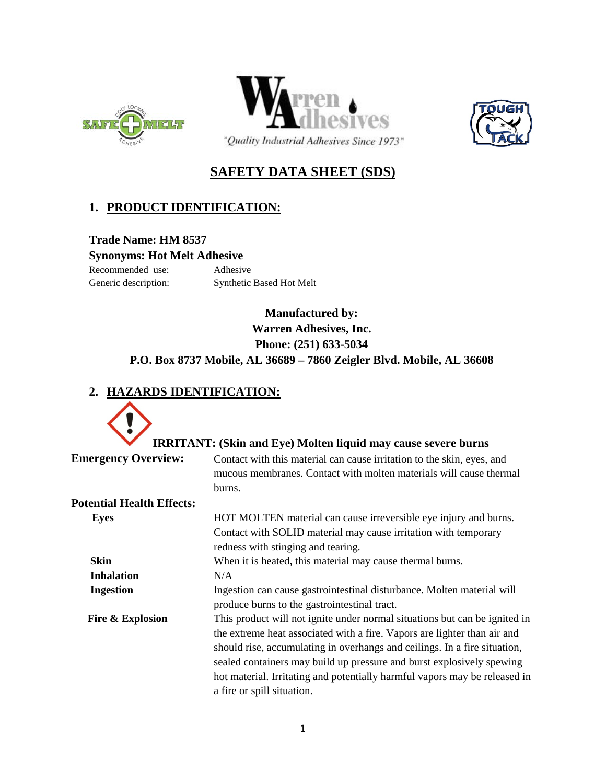





# **SAFETY DATA SHEET (SDS)**

## **1. PRODUCT IDENTIFICATION:**

**Trade Name: HM 8537 Synonyms: Hot Melt Adhesive**

Recommended use: Adhesive

Generic description: Synthetic Based Hot Melt

# **Manufactured by: Warren Adhesives, Inc. Phone: (251) 633-5034 P.O. Box 8737 Mobile, AL 36689 – 7860 Zeigler Blvd. Mobile, AL 36608**

# **2. HAZARDS IDENTIFICATION:**

|                                  | <b>IRRITANT: (Skin and Eye) Molten liquid may cause severe burns</b>                                                                                                                                                                                                                                                                                                                                                     |
|----------------------------------|--------------------------------------------------------------------------------------------------------------------------------------------------------------------------------------------------------------------------------------------------------------------------------------------------------------------------------------------------------------------------------------------------------------------------|
| <b>Emergency Overview:</b>       | Contact with this material can cause irritation to the skin, eyes, and<br>mucous membranes. Contact with molten materials will cause thermal<br>burns.                                                                                                                                                                                                                                                                   |
| <b>Potential Health Effects:</b> |                                                                                                                                                                                                                                                                                                                                                                                                                          |
| <b>Eyes</b>                      | HOT MOLTEN material can cause irreversible eye injury and burns.<br>Contact with SOLID material may cause irritation with temporary<br>redness with stinging and tearing.                                                                                                                                                                                                                                                |
| <b>Skin</b>                      | When it is heated, this material may cause thermal burns.                                                                                                                                                                                                                                                                                                                                                                |
| <b>Inhalation</b>                | N/A                                                                                                                                                                                                                                                                                                                                                                                                                      |
| <b>Ingestion</b>                 | Ingestion can cause gastrointestinal disturbance. Molten material will<br>produce burns to the gastrointestinal tract.                                                                                                                                                                                                                                                                                                   |
| Fire & Explosion                 | This product will not ignite under normal situations but can be ignited in<br>the extreme heat associated with a fire. Vapors are lighter than air and<br>should rise, accumulating in overhangs and ceilings. In a fire situation,<br>sealed containers may build up pressure and burst explosively spewing<br>hot material. Irritating and potentially harmful vapors may be released in<br>a fire or spill situation. |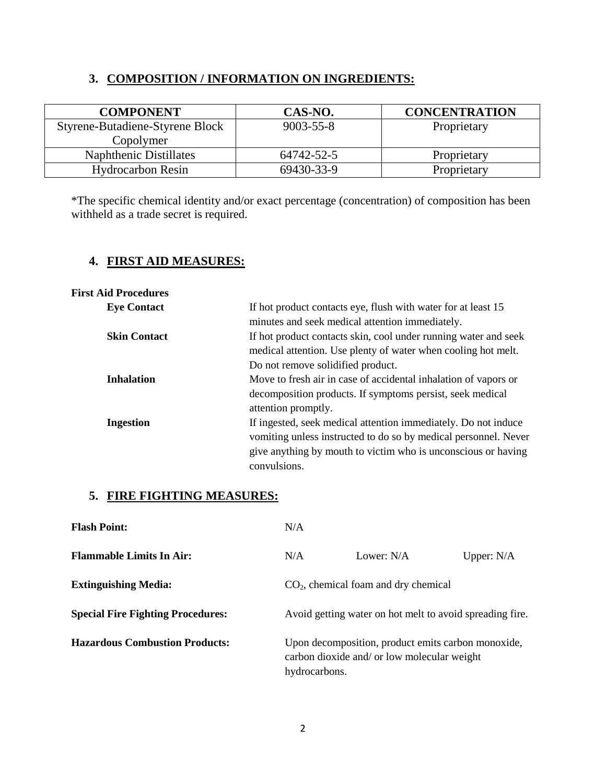## **3. COMPOSITION / INFORMATION ON INGREDIENTS:**

| <b>COMPONENT</b>                | CAS-NO.         | <b>CONCENTRATION</b> |
|---------------------------------|-----------------|----------------------|
| Styrene-Butadiene-Styrene Block | $9003 - 55 - 8$ | Proprietary          |
| Copolymer                       |                 |                      |
| Naphthenic Distillates          | 64742-52-5      | Proprietary          |
| <b>Hydrocarbon Resin</b>        | 69430-33-9      | Proprietary          |

\*The specific chemical identity and/or exact percentage (concentration) of composition has been withheld as a trade secret is required.

## **4. FIRST AID MEASURES:**

| <b>First Aid Procedures</b> |                                                                 |
|-----------------------------|-----------------------------------------------------------------|
| <b>Eye Contact</b>          | If hot product contacts eye, flush with water for at least 15   |
|                             | minutes and seek medical attention immediately.                 |
| <b>Skin Contact</b>         | If hot product contacts skin, cool under running water and seek |
|                             | medical attention. Use plenty of water when cooling hot melt.   |
|                             | Do not remove solidified product.                               |
| <b>Inhalation</b>           | Move to fresh air in case of accidental inhalation of vapors or |
|                             | decomposition products. If symptoms persist, seek medical       |
|                             | attention promptly.                                             |
| <b>Ingestion</b>            | If ingested, seek medical attention immediately. Do not induce  |
|                             | vomiting unless instructed to do so by medical personnel. Never |
|                             | give anything by mouth to victim who is unconscious or having   |
|                             | convulsions.                                                    |

## **5. FIRE FIGHTING MEASURES:**

| <b>Flash Point:</b>                      | N/A                                                                                                                |              |              |
|------------------------------------------|--------------------------------------------------------------------------------------------------------------------|--------------|--------------|
| <b>Flammable Limits In Air:</b>          | N/A                                                                                                                | Lower: $N/A$ | Upper: $N/A$ |
| <b>Extinguishing Media:</b>              | $CO2$ , chemical foam and dry chemical                                                                             |              |              |
| <b>Special Fire Fighting Procedures:</b> | Avoid getting water on hot melt to avoid spreading fire.                                                           |              |              |
| <b>Hazardous Combustion Products:</b>    | Upon decomposition, product emits carbon monoxide,<br>carbon dioxide and/ or low molecular weight<br>hydrocarbons. |              |              |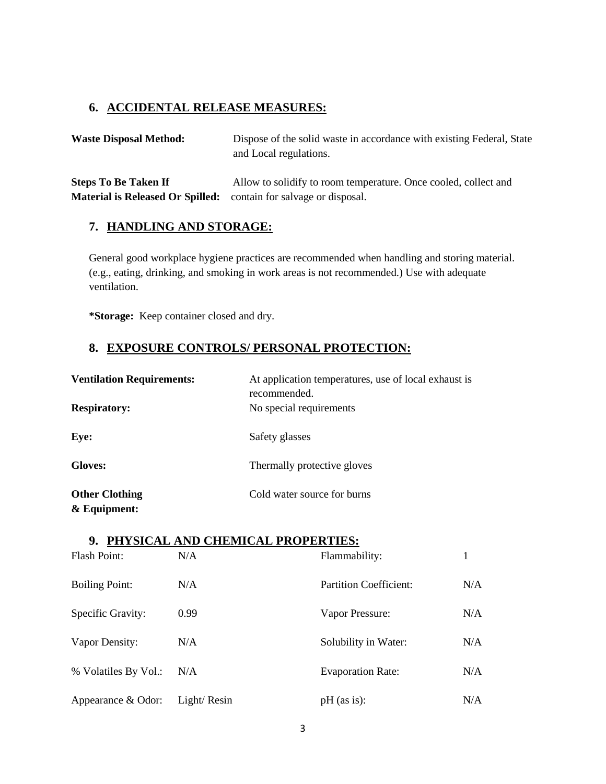### **6. ACCIDENTAL RELEASE MEASURES:**

Waste Disposal Method: Dispose of the solid waste in accordance with existing Federal, State and Local regulations.

**Steps To Be Taken If** Allow to solidify to room temperature. Once cooled, collect and **Material is Released Or Spilled:** contain for salvage or disposal.

### **7. HANDLING AND STORAGE:**

General good workplace hygiene practices are recommended when handling and storing material. (e.g., eating, drinking, and smoking in work areas is not recommended.) Use with adequate ventilation.

**\*Storage:** Keep container closed and dry.

## **8. EXPOSURE CONTROLS/ PERSONAL PROTECTION:**

| <b>Ventilation Requirements:</b><br><b>Respiratory:</b> | At application temperatures, use of local exhaust is<br>recommended.<br>No special requirements |
|---------------------------------------------------------|-------------------------------------------------------------------------------------------------|
|                                                         |                                                                                                 |
| Eye:                                                    | Safety glasses                                                                                  |
| Gloves:                                                 | Thermally protective gloves                                                                     |
| <b>Other Clothing</b><br>$&$ Equipment:                 | Cold water source for burns                                                                     |

### **9. PHYSICAL AND CHEMICAL PROPERTIES:**

| Flash Point:          | N/A         | Flammability:            |     |
|-----------------------|-------------|--------------------------|-----|
| <b>Boiling Point:</b> | N/A         | Partition Coefficient:   | N/A |
| Specific Gravity:     | 0.99        | Vapor Pressure:          | N/A |
| Vapor Density:        | N/A         | Solubility in Water:     | N/A |
| % Volatiles By Vol.:  | N/A         | <b>Evaporation Rate:</b> | N/A |
| Appearance & Odor:    | Light/Resin | $pH$ (as is):            | N/A |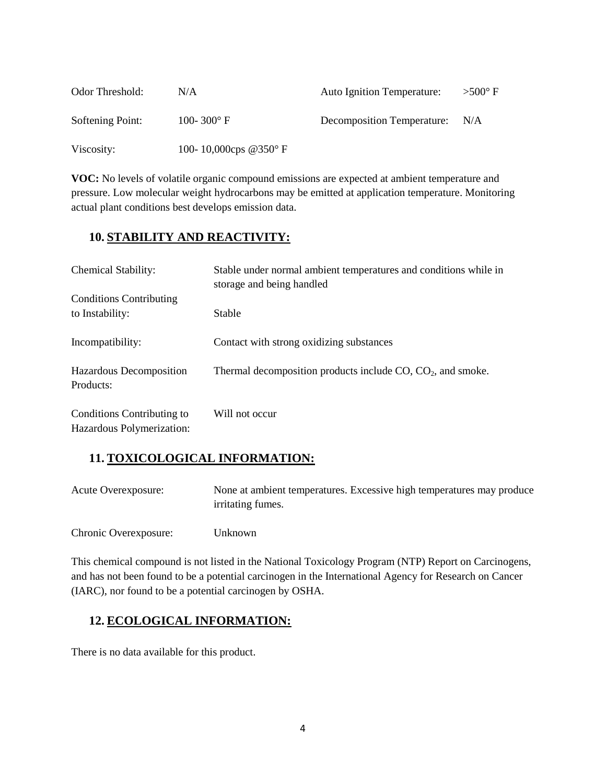| Odor Threshold:  | N/A                            | <b>Auto Ignition Temperature:</b> | $>500^{\circ}$ F |
|------------------|--------------------------------|-----------------------------------|------------------|
| Softening Point: | 100-300 $^{\circ}$ F           | Decomposition Temperature:        | N/A              |
| Viscosity:       | 100-10,000cps @350 $\degree$ F |                                   |                  |

**VOC:** No levels of volatile organic compound emissions are expected at ambient temperature and pressure. Low molecular weight hydrocarbons may be emitted at application temperature. Monitoring actual plant conditions best develops emission data.

## **10. STABILITY AND REACTIVITY:**

| <b>Chemical Stability:</b>                              | Stable under normal ambient temperatures and conditions while in<br>storage and being handled |
|---------------------------------------------------------|-----------------------------------------------------------------------------------------------|
| <b>Conditions Contributing</b><br>to Instability:       | <b>Stable</b>                                                                                 |
| Incompatibility:                                        | Contact with strong oxidizing substances                                                      |
| Hazardous Decomposition<br>Products:                    | Thermal decomposition products include $CO$ , $CO2$ , and smoke.                              |
| Conditions Contributing to<br>Hazardous Polymerization: | Will not occur                                                                                |

### **11. TOXICOLOGICAL INFORMATION:**

| Acute Overexposure:   | None at ambient temperatures. Excessive high temperatures may produce<br>irritating fumes. |
|-----------------------|--------------------------------------------------------------------------------------------|
| Chronic Overexposure: | Unknown                                                                                    |

This chemical compound is not listed in the National Toxicology Program (NTP) Report on Carcinogens, and has not been found to be a potential carcinogen in the International Agency for Research on Cancer (IARC), nor found to be a potential carcinogen by OSHA.

# **12. ECOLOGICAL INFORMATION:**

There is no data available for this product.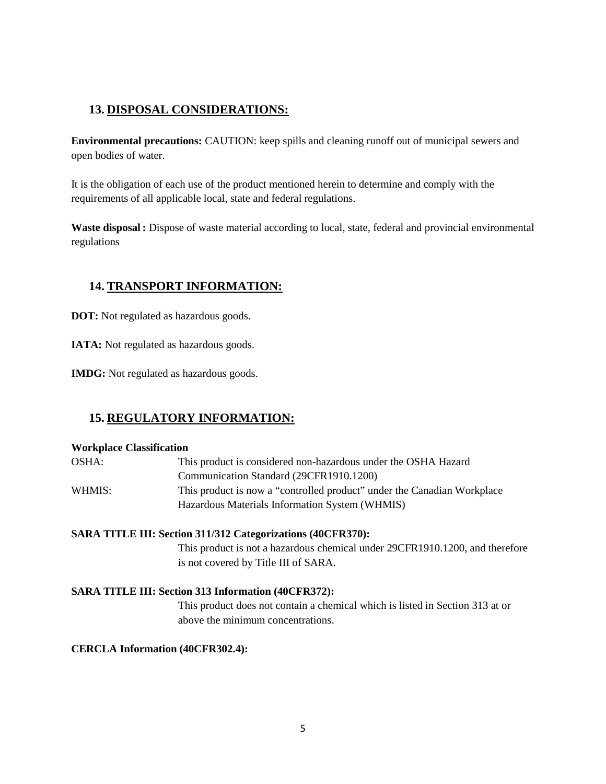## **13. DISPOSAL CONSIDERATIONS:**

**Environmental precautions:** CAUTION: keep spills and cleaning runoff out of municipal sewers and open bodies of water.

It is the obligation of each use of the product mentioned herein to determine and comply with the requirements of all applicable local, state and federal regulations.

**Waste disposal :** Dispose of waste material according to local, state, federal and provincial environmental regulations

## **14. TRANSPORT INFORMATION:**

**DOT:** Not regulated as hazardous goods.

**IATA:** Not regulated as hazardous goods.

**IMDG:** Not regulated as hazardous goods.

## **15. REGULATORY INFORMATION:**

#### **Workplace Classification**

| OSHA:    | This product is considered non-hazardous under the OSHA Hazard          |
|----------|-------------------------------------------------------------------------|
|          | Communication Standard (29CFR1910.1200)                                 |
| WHMIS: \ | This product is now a "controlled product" under the Canadian Workplace |
|          | Hazardous Materials Information System (WHMIS)                          |

#### **SARA TITLE III: Section 311/312 Categorizations (40CFR370):**

This product is not a hazardous chemical under 29CFR1910.1200, and therefore is not covered by Title III of SARA.

#### **SARA TITLE III: Section 313 Information (40CFR372):**

This product does not contain a chemical which is listed in Section 313 at or above the minimum concentrations.

#### **CERCLA Information (40CFR302.4):**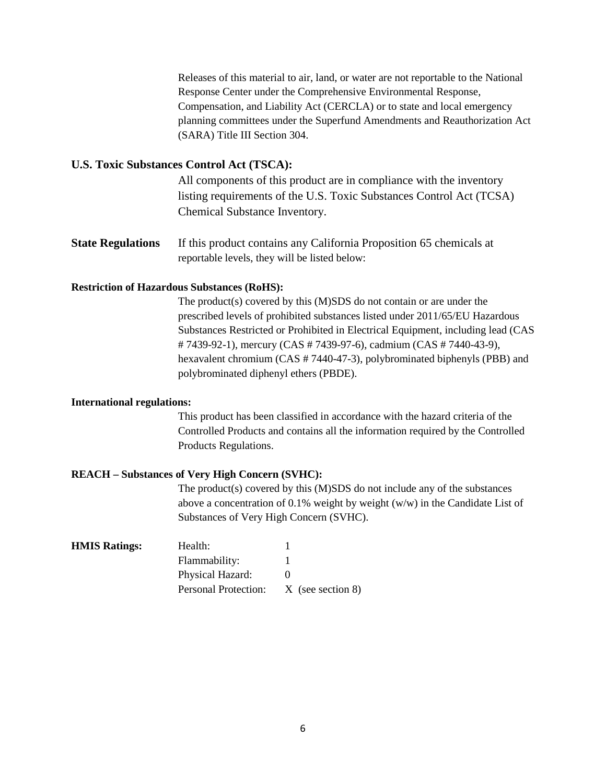Releases of this material to air, land, or water are not reportable to the National Response Center under the Comprehensive Environmental Response, Compensation, and Liability Act (CERCLA) or to state and local emergency planning committees under the Superfund Amendments and Reauthorization Act (SARA) Title III Section 304.

#### **U.S. Toxic Substances Control Act (TSCA):**

All components of this product are in compliance with the inventory listing requirements of the U.S. Toxic Substances Control Act (TCSA) Chemical Substance Inventory.

**State Regulations** If this product contains any California Proposition 65 chemicals at reportable levels, they will be listed below:

#### **Restriction of Hazardous Substances (RoHS):**

The product(s) covered by this (M)SDS do not contain or are under the prescribed levels of prohibited substances listed under 2011/65/EU Hazardous Substances Restricted or Prohibited in Electrical Equipment, including lead (CAS # 7439-92-1), mercury (CAS # 7439-97-6), cadmium (CAS # 7440-43-9), hexavalent chromium (CAS # 7440-47-3), polybrominated biphenyls (PBB) and polybrominated diphenyl ethers (PBDE).

#### **International regulations:**

This product has been classified in accordance with the hazard criteria of the Controlled Products and contains all the information required by the Controlled Products Regulations.

#### **REACH – Substances of Very High Concern (SVHC):**

The product(s) covered by this (M)SDS do not include any of the substances above a concentration of 0.1% weight by weight  $(w/w)$  in the Candidate List of Substances of Very High Concern (SVHC).

| Health:              |                     |
|----------------------|---------------------|
| Flammability:        |                     |
| Physical Hazard:     |                     |
| Personal Protection: | $X$ (see section 8) |
|                      |                     |